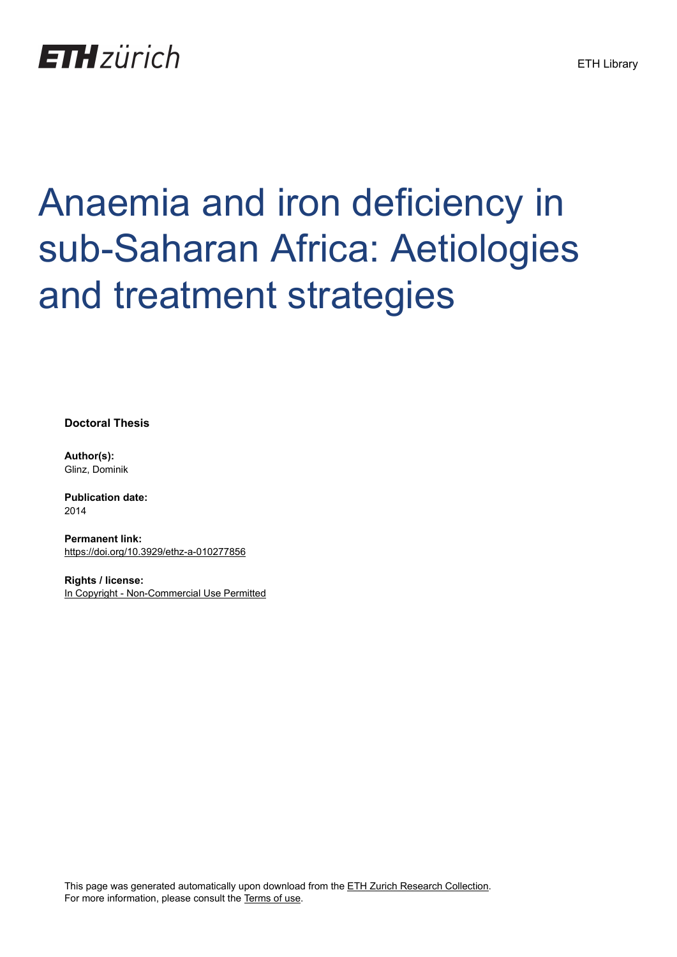# **ETH**zürich

# Anaemia and iron deficiency in sub-Saharan Africa: Aetiologies and treatment strategies

**Doctoral Thesis**

**Author(s):** Glinz, Dominik

**Publication date:** 2014

**Permanent link:** <https://doi.org/10.3929/ethz-a-010277856>

**Rights / license:** [In Copyright - Non-Commercial Use Permitted](http://rightsstatements.org/page/InC-NC/1.0/)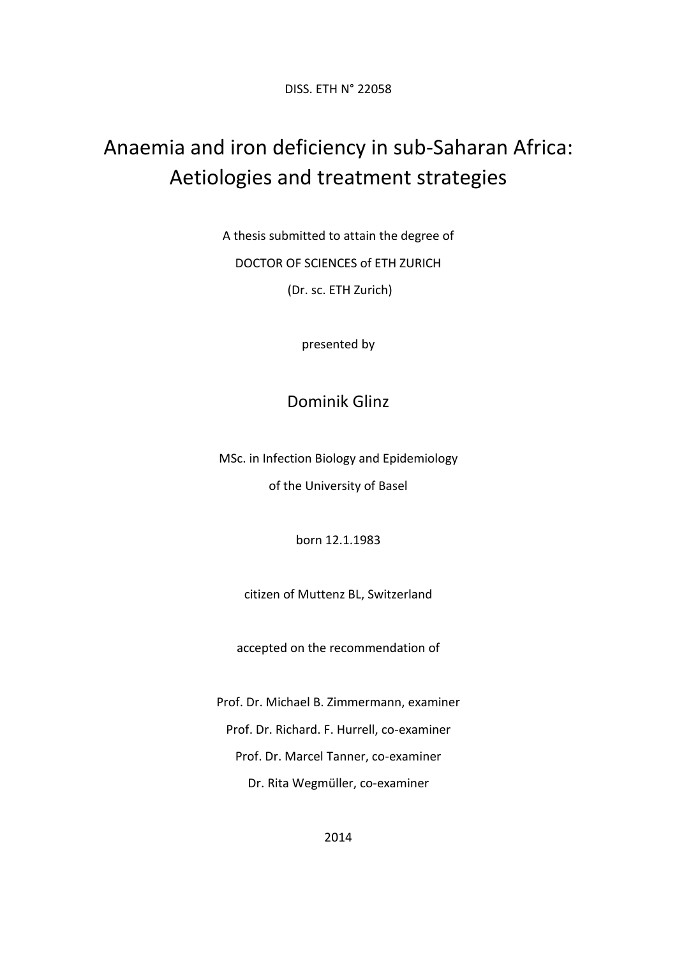DISS. ETH N° 22058

# Anaemia and iron deficiency in sub-Saharan Africa: Aetiologies and treatment strategies

A thesis submitted to attain the degree of DOCTOR OF SCIENCES of ETH ZURICH (Dr. sc. ETH Zurich)

presented by

# Dominik Glinz

MSc. in Infection Biology and Epidemiology of the University of Basel

born 12.1.1983

citizen of Muttenz BL, Switzerland

accepted on the recommendation of

Prof. Dr. Michael B. Zimmermann, examiner Prof. Dr. Richard. F. Hurrell, co-examiner Prof. Dr. Marcel Tanner, co-examiner Dr. Rita Wegmüller, co-examiner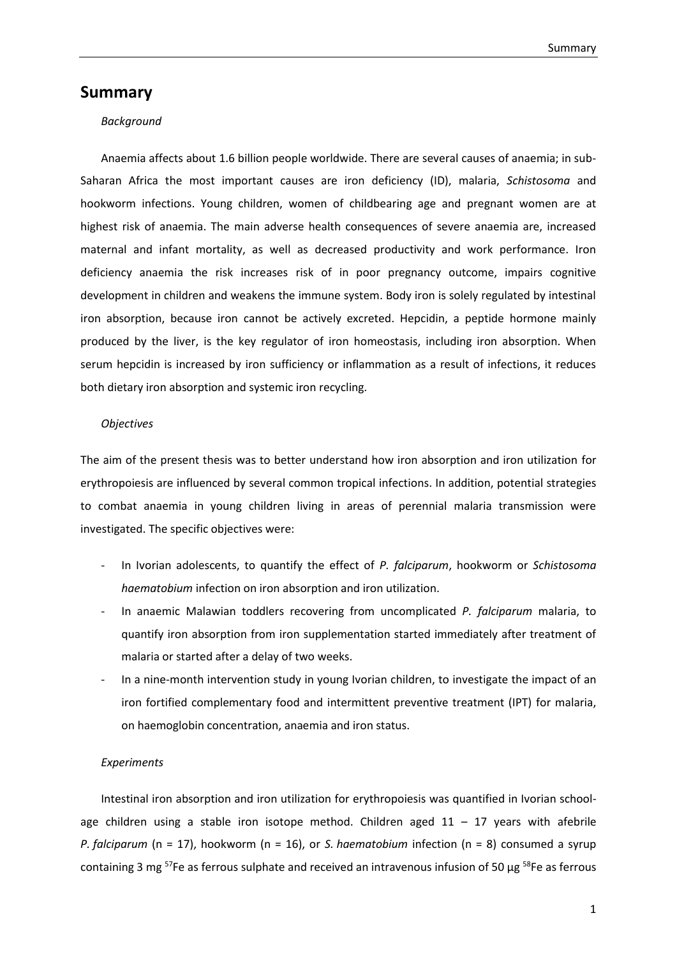### **Summary**

#### *Background*

Anaemia affects about 1.6 billion people worldwide. There are several causes of anaemia; in sub-Saharan Africa the most important causes are iron deficiency (ID), malaria, *Schistosoma* and hookworm infections. Young children, women of childbearing age and pregnant women are at highest risk of anaemia. The main adverse health consequences of severe anaemia are, increased maternal and infant mortality, as well as decreased productivity and work performance. Iron deficiency anaemia the risk increases risk of in poor pregnancy outcome, impairs cognitive development in children and weakens the immune system. Body iron is solely regulated by intestinal iron absorption, because iron cannot be actively excreted. Hepcidin, a peptide hormone mainly produced by the liver, is the key regulator of iron homeostasis, including iron absorption. When serum hepcidin is increased by iron sufficiency or inflammation as a result of infections, it reduces both dietary iron absorption and systemic iron recycling.

#### *Objectives*

The aim of the present thesis was to better understand how iron absorption and iron utilization for erythropoiesis are influenced by several common tropical infections. In addition, potential strategies to combat anaemia in young children living in areas of perennial malaria transmission were investigated. The specific objectives were:

- In Ivorian adolescents, to quantify the effect of *P. falciparum*, hookworm or *Schistosoma haematobium* infection on iron absorption and iron utilization.
- In anaemic Malawian toddlers recovering from uncomplicated *P. falciparum* malaria, to quantify iron absorption from iron supplementation started immediately after treatment of malaria or started after a delay of two weeks.
- In a nine-month intervention study in young Ivorian children, to investigate the impact of an iron fortified complementary food and intermittent preventive treatment (IPT) for malaria, on haemoglobin concentration, anaemia and iron status.

#### *Experiments*

Intestinal iron absorption and iron utilization for erythropoiesis was quantified in Ivorian schoolage children using a stable iron isotope method. Children aged  $11 - 17$  years with afebrile *P. falciparum* (n = 17), hookworm (n = 16), or *S. haematobium* infection (n = 8) consumed a syrup containing 3 mg <sup>57</sup>Fe as ferrous sulphate and received an intravenous infusion of 50 μg <sup>58</sup>Fe as ferrous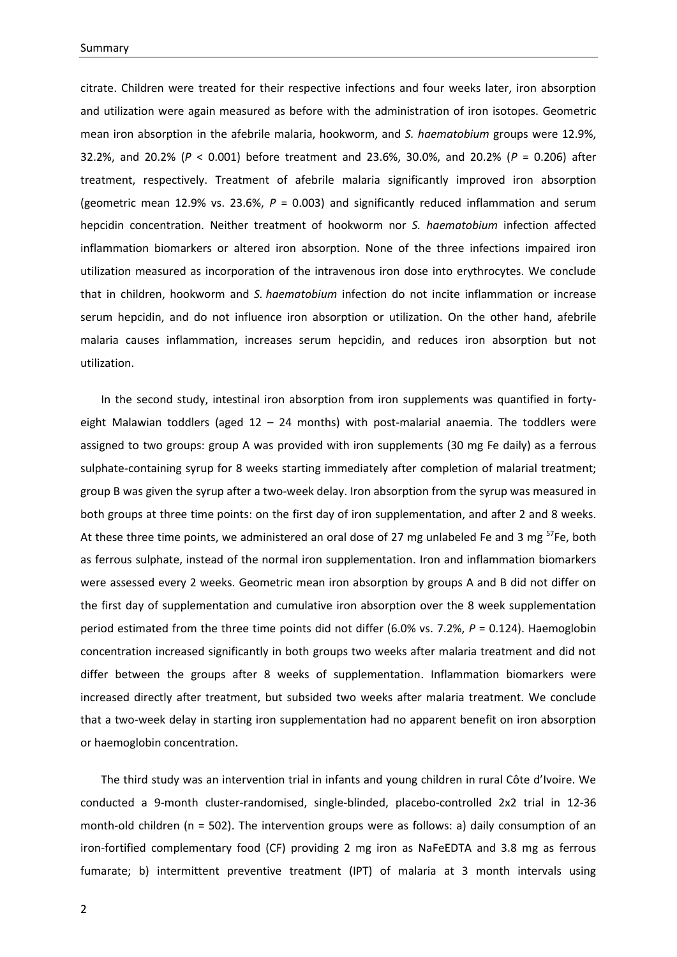citrate. Children were treated for their respective infections and four weeks later, iron absorption and utilization were again measured as before with the administration of iron isotopes. Geometric mean iron absorption in the afebrile malaria, hookworm, and *S. haematobium* groups were 12.9%, 32.2%, and 20.2% (*P* < 0.001) before treatment and 23.6%, 30.0%, and 20.2% (*P* = 0.206) after treatment, respectively. Treatment of afebrile malaria significantly improved iron absorption (geometric mean 12.9% vs. 23.6%, *P* = 0.003) and significantly reduced inflammation and serum hepcidin concentration. Neither treatment of hookworm nor *S. haematobium* infection affected inflammation biomarkers or altered iron absorption. None of the three infections impaired iron utilization measured as incorporation of the intravenous iron dose into erythrocytes. We conclude that in children, hookworm and *S. haematobium* infection do not incite inflammation or increase serum hepcidin, and do not influence iron absorption or utilization. On the other hand, afebrile malaria causes inflammation, increases serum hepcidin, and reduces iron absorption but not utilization.

In the second study, intestinal iron absorption from iron supplements was quantified in fortyeight Malawian toddlers (aged  $12 - 24$  months) with post-malarial anaemia. The toddlers were assigned to two groups: group A was provided with iron supplements (30 mg Fe daily) as a ferrous sulphate-containing syrup for 8 weeks starting immediately after completion of malarial treatment; group B was given the syrup after a two-week delay. Iron absorption from the syrup was measured in both groups at three time points: on the first day of iron supplementation, and after 2 and 8 weeks. At these three time points, we administered an oral dose of 27 mg unlabeled Fe and 3 mg  $57Fe$ , both as ferrous sulphate, instead of the normal iron supplementation. Iron and inflammation biomarkers were assessed every 2 weeks. Geometric mean iron absorption by groups A and B did not differ on the first day of supplementation and cumulative iron absorption over the 8 week supplementation period estimated from the three time points did not differ (6.0% vs. 7.2%, *P* = 0.124). Haemoglobin concentration increased significantly in both groups two weeks after malaria treatment and did not differ between the groups after 8 weeks of supplementation. Inflammation biomarkers were increased directly after treatment, but subsided two weeks after malaria treatment. We conclude that a two-week delay in starting iron supplementation had no apparent benefit on iron absorption or haemoglobin concentration.

The third study was an intervention trial in infants and young children in rural Côte d'Ivoire. We conducted a 9-month cluster-randomised, single-blinded, placebo-controlled 2x2 trial in 12-36 month-old children (n = 502). The intervention groups were as follows: a) daily consumption of an iron-fortified complementary food (CF) providing 2 mg iron as NaFeEDTA and 3.8 mg as ferrous fumarate; b) intermittent preventive treatment (IPT) of malaria at 3 month intervals using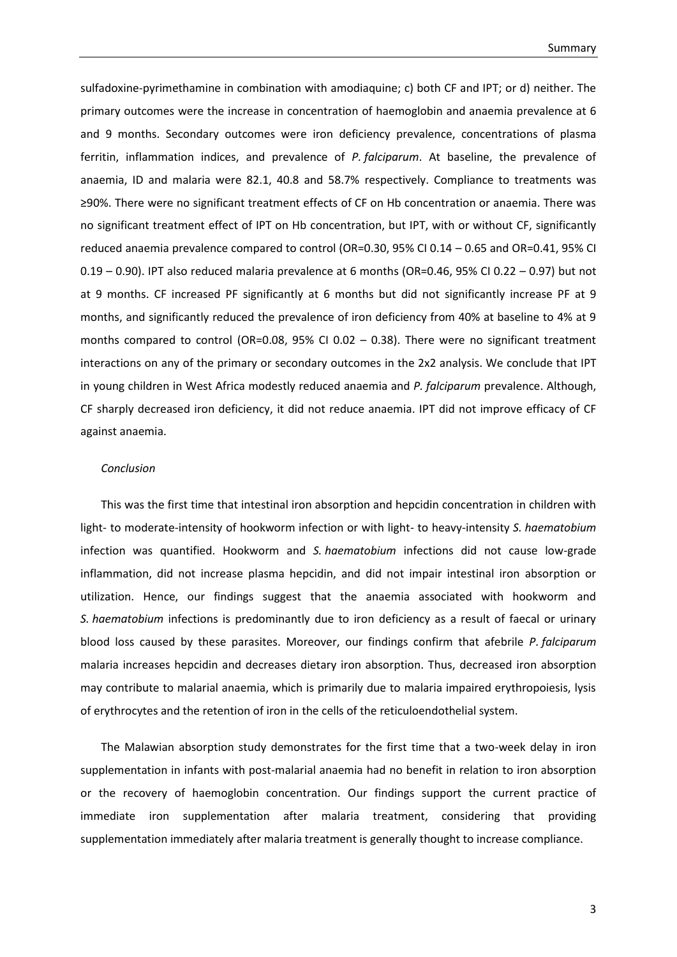sulfadoxine-pyrimethamine in combination with amodiaquine; c) both CF and IPT; or d) neither. The primary outcomes were the increase in concentration of haemoglobin and anaemia prevalence at 6 and 9 months. Secondary outcomes were iron deficiency prevalence, concentrations of plasma ferritin, inflammation indices, and prevalence of *P. falciparum*. At baseline, the prevalence of anaemia, ID and malaria were 82.1, 40.8 and 58.7% respectively. Compliance to treatments was ≥90%. There were no significant treatment effects of CF on Hb concentration or anaemia. There was no significant treatment effect of IPT on Hb concentration, but IPT, with or without CF, significantly reduced anaemia prevalence compared to control (OR=0.30, 95% CI 0.14 – 0.65 and OR=0.41, 95% CI 0.19 – 0.90). IPT also reduced malaria prevalence at 6 months (OR=0.46, 95% CI 0.22 – 0.97) but not at 9 months. CF increased PF significantly at 6 months but did not significantly increase PF at 9 months, and significantly reduced the prevalence of iron deficiency from 40% at baseline to 4% at 9 months compared to control (OR=0.08, 95% CI 0.02 – 0.38). There were no significant treatment interactions on any of the primary or secondary outcomes in the 2x2 analysis. We conclude that IPT in young children in West Africa modestly reduced anaemia and *P. falciparum* prevalence. Although, CF sharply decreased iron deficiency, it did not reduce anaemia. IPT did not improve efficacy of CF against anaemia.

#### *Conclusion*

This was the first time that intestinal iron absorption and hepcidin concentration in children with light- to moderate-intensity of hookworm infection or with light- to heavy-intensity *S. haematobium* infection was quantified. Hookworm and *S. haematobium* infections did not cause low-grade inflammation, did not increase plasma hepcidin, and did not impair intestinal iron absorption or utilization. Hence, our findings suggest that the anaemia associated with hookworm and *S. haematobium* infections is predominantly due to iron deficiency as a result of faecal or urinary blood loss caused by these parasites. Moreover, our findings confirm that afebrile *P. falciparum*  malaria increases hepcidin and decreases dietary iron absorption. Thus, decreased iron absorption may contribute to malarial anaemia, which is primarily due to malaria impaired erythropoiesis, lysis of erythrocytes and the retention of iron in the cells of the reticuloendothelial system.

The Malawian absorption study demonstrates for the first time that a two-week delay in iron supplementation in infants with post-malarial anaemia had no benefit in relation to iron absorption or the recovery of haemoglobin concentration. Our findings support the current practice of immediate iron supplementation after malaria treatment, considering that providing supplementation immediately after malaria treatment is generally thought to increase compliance.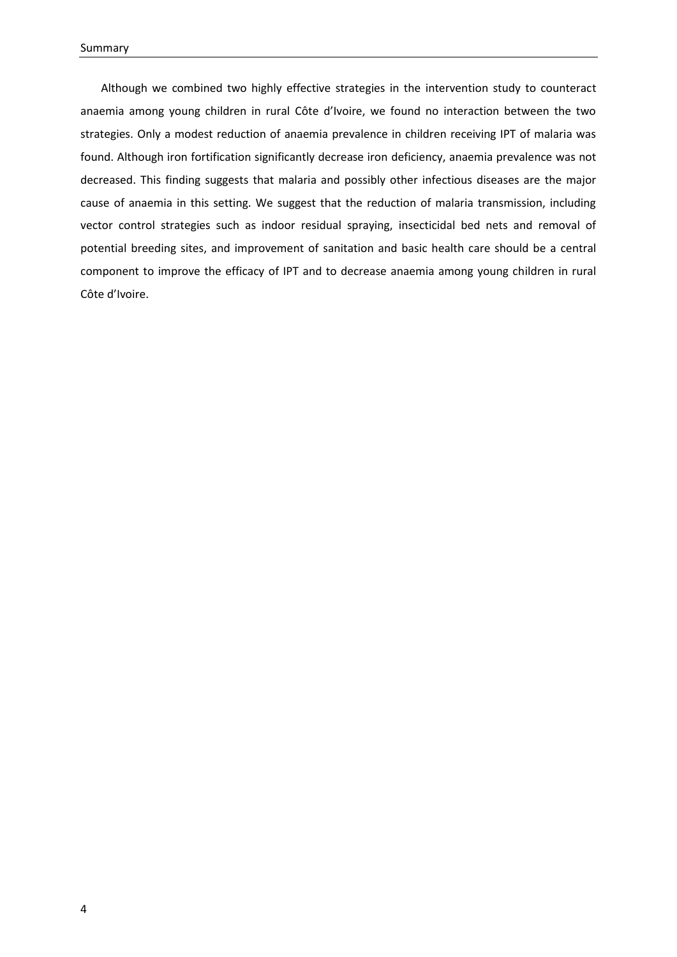Although we combined two highly effective strategies in the intervention study to counteract anaemia among young children in rural Côte d'Ivoire, we found no interaction between the two strategies. Only a modest reduction of anaemia prevalence in children receiving IPT of malaria was found. Although iron fortification significantly decrease iron deficiency, anaemia prevalence was not decreased. This finding suggests that malaria and possibly other infectious diseases are the major cause of anaemia in this setting. We suggest that the reduction of malaria transmission, including vector control strategies such as indoor residual spraying, insecticidal bed nets and removal of potential breeding sites, and improvement of sanitation and basic health care should be a central component to improve the efficacy of IPT and to decrease anaemia among young children in rural Côte d'Ivoire.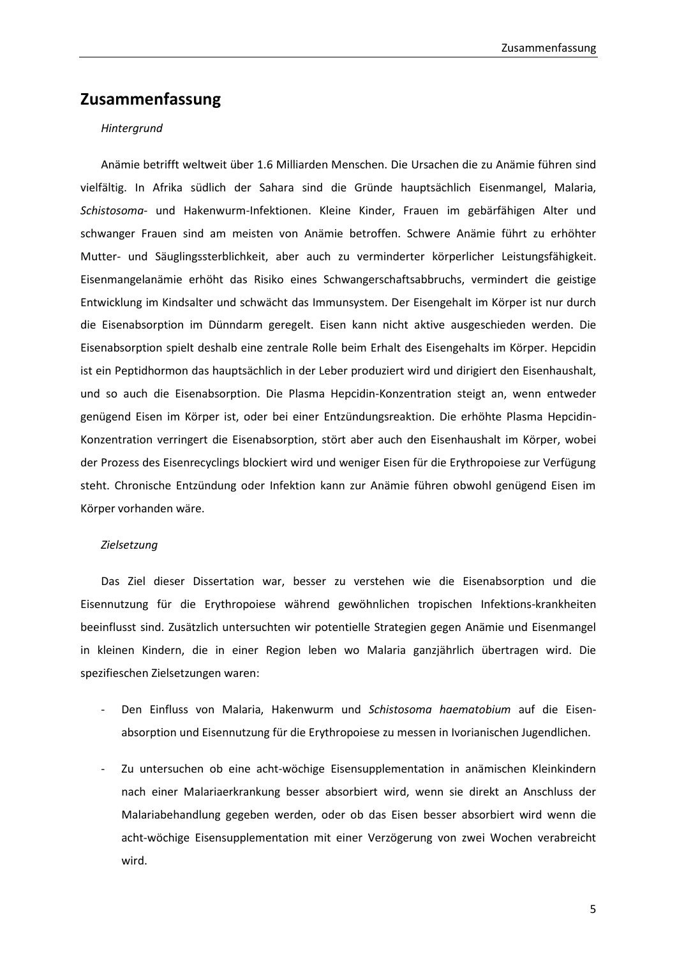## **Zusammenfassung**

#### *Hintergrund*

Anämie betrifft weltweit über 1.6 Milliarden Menschen. Die Ursachen die zu Anämie führen sind vielfältig. In Afrika südlich der Sahara sind die Gründe hauptsächlich Eisenmangel, Malaria, *Schistosoma*- und Hakenwurm-Infektionen. Kleine Kinder, Frauen im gebärfähigen Alter und schwanger Frauen sind am meisten von Anämie betroffen. Schwere Anämie führt zu erhöhter Mutter- und Säuglingssterblichkeit, aber auch zu verminderter körperlicher Leistungsfähigkeit. Eisenmangelanämie erhöht das Risiko eines Schwangerschaftsabbruchs, vermindert die geistige Entwicklung im Kindsalter und schwächt das Immunsystem. Der Eisengehalt im Körper ist nur durch die Eisenabsorption im Dünndarm geregelt. Eisen kann nicht aktive ausgeschieden werden. Die Eisenabsorption spielt deshalb eine zentrale Rolle beim Erhalt des Eisengehalts im Körper. Hepcidin ist ein Peptidhormon das hauptsächlich in der Leber produziert wird und dirigiert den Eisenhaushalt, und so auch die Eisenabsorption. Die Plasma Hepcidin-Konzentration steigt an, wenn entweder genügend Eisen im Körper ist, oder bei einer Entzündungsreaktion. Die erhöhte Plasma Hepcidin-Konzentration verringert die Eisenabsorption, stört aber auch den Eisenhaushalt im Körper, wobei der Prozess des Eisenrecyclings blockiert wird und weniger Eisen für die Erythropoiese zur Verfügung steht. Chronische Entzündung oder Infektion kann zur Anämie führen obwohl genügend Eisen im Körper vorhanden wäre.

#### *Zielsetzung*

Das Ziel dieser Dissertation war, besser zu verstehen wie die Eisenabsorption und die Eisennutzung für die Erythropoiese während gewöhnlichen tropischen Infektions-krankheiten beeinflusst sind. Zusätzlich untersuchten wir potentielle Strategien gegen Anämie und Eisenmangel in kleinen Kindern, die in einer Region leben wo Malaria ganzjährlich übertragen wird. Die spezifieschen Zielsetzungen waren:

- Den Einfluss von Malaria, Hakenwurm und *Schistosoma haematobium* auf die Eisenabsorption und Eisennutzung für die Erythropoiese zu messen in Ivorianischen Jugendlichen.
- Zu untersuchen ob eine acht-wöchige Eisensupplementation in anämischen Kleinkindern nach einer Malariaerkrankung besser absorbiert wird, wenn sie direkt an Anschluss der Malariabehandlung gegeben werden, oder ob das Eisen besser absorbiert wird wenn die acht-wöchige Eisensupplementation mit einer Verzögerung von zwei Wochen verabreicht wird.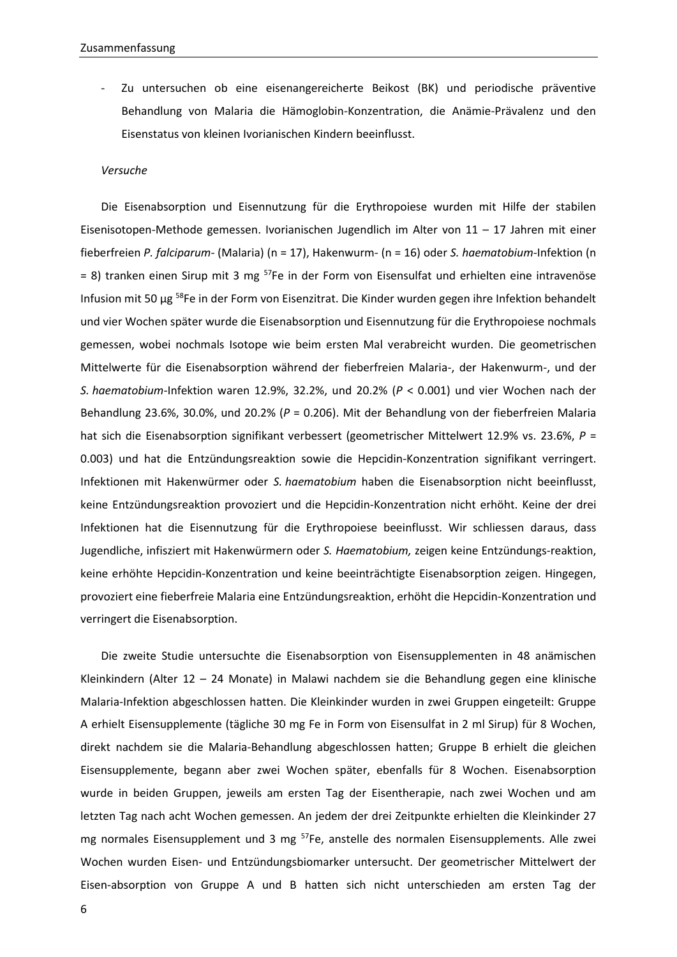Zu untersuchen ob eine eisenangereicherte Beikost (BK) und periodische präventive Behandlung von Malaria die Hämoglobin-Konzentration, die Anämie-Prävalenz und den Eisenstatus von kleinen Ivorianischen Kindern beeinflusst.

#### *Versuche*

Die Eisenabsorption und Eisennutzung für die Erythropoiese wurden mit Hilfe der stabilen Eisenisotopen-Methode gemessen. Ivorianischen Jugendlich im Alter von 11 – 17 Jahren mit einer fieberfreien *P. falciparum-* (Malaria) (n = 17), Hakenwurm- (n = 16) oder *S. haematobium-*Infektion (n  $= 8$ ) tranken einen Sirup mit 3 mg <sup>57</sup>Fe in der Form von Eisensulfat und erhielten eine intravenöse Infusion mit 50 μg <sup>58</sup>Fe in der Form von Eisenzitrat. Die Kinder wurden gegen ihre Infektion behandelt und vier Wochen später wurde die Eisenabsorption und Eisennutzung für die Erythropoiese nochmals gemessen, wobei nochmals Isotope wie beim ersten Mal verabreicht wurden. Die geometrischen Mittelwerte für die Eisenabsorption während der fieberfreien Malaria-, der Hakenwurm-, und der *S. haematobium*-Infektion waren 12.9%, 32.2%, und 20.2% (*P* < 0.001) und vier Wochen nach der Behandlung 23.6%, 30.0%, und 20.2% (*P* = 0.206). Mit der Behandlung von der fieberfreien Malaria hat sich die Eisenabsorption signifikant verbessert (geometrischer Mittelwert 12.9% vs. 23.6%, *P* = 0.003) und hat die Entzündungsreaktion sowie die Hepcidin-Konzentration signifikant verringert. Infektionen mit Hakenwürmer oder *S. haematobium* haben die Eisenabsorption nicht beeinflusst, keine Entzündungsreaktion provoziert und die Hepcidin-Konzentration nicht erhöht. Keine der drei Infektionen hat die Eisennutzung für die Erythropoiese beeinflusst. Wir schliessen daraus, dass Jugendliche, infisziert mit Hakenwürmern oder *S. Haematobium,* zeigen keine Entzündungs-reaktion, keine erhöhte Hepcidin-Konzentration und keine beeinträchtigte Eisenabsorption zeigen. Hingegen, provoziert eine fieberfreie Malaria eine Entzündungsreaktion, erhöht die Hepcidin-Konzentration und verringert die Eisenabsorption.

Die zweite Studie untersuchte die Eisenabsorption von Eisensupplementen in 48 anämischen Kleinkindern (Alter 12 – 24 Monate) in Malawi nachdem sie die Behandlung gegen eine klinische Malaria-Infektion abgeschlossen hatten. Die Kleinkinder wurden in zwei Gruppen eingeteilt: Gruppe A erhielt Eisensupplemente (tägliche 30 mg Fe in Form von Eisensulfat in 2 ml Sirup) für 8 Wochen, direkt nachdem sie die Malaria-Behandlung abgeschlossen hatten; Gruppe B erhielt die gleichen Eisensupplemente, begann aber zwei Wochen später, ebenfalls für 8 Wochen. Eisenabsorption wurde in beiden Gruppen, jeweils am ersten Tag der Eisentherapie, nach zwei Wochen und am letzten Tag nach acht Wochen gemessen. An jedem der drei Zeitpunkte erhielten die Kleinkinder 27 mg normales Eisensupplement und 3 mg  $57$ Fe, anstelle des normalen Eisensupplements. Alle zwei Wochen wurden Eisen- und Entzündungsbiomarker untersucht. Der geometrischer Mittelwert der Eisen-absorption von Gruppe A und B hatten sich nicht unterschieden am ersten Tag der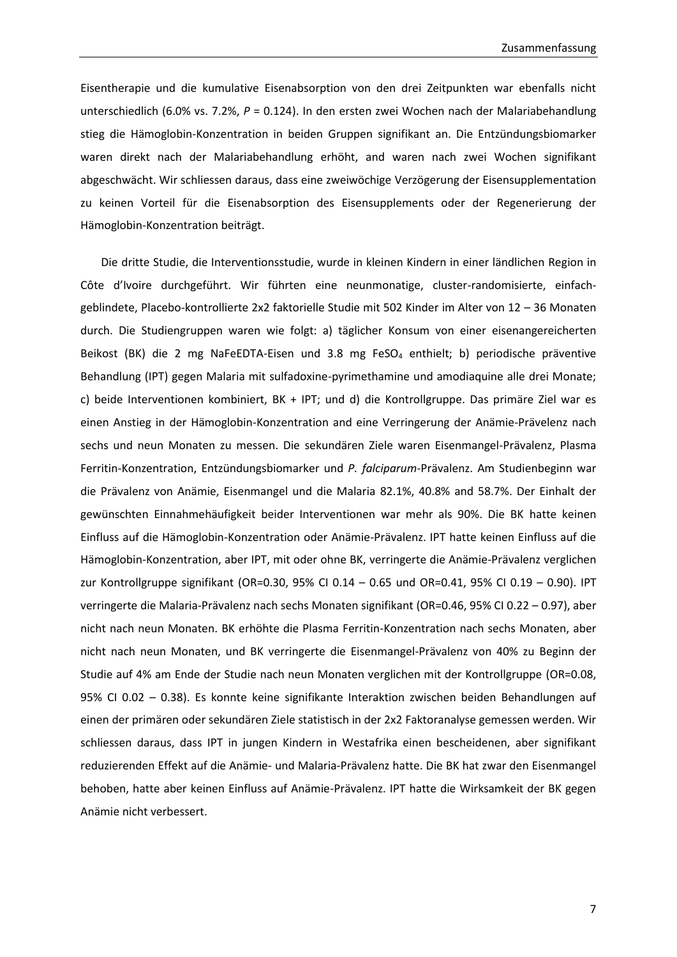Eisentherapie und die kumulative Eisenabsorption von den drei Zeitpunkten war ebenfalls nicht unterschiedlich (6.0% vs. 7.2%,  $P = 0.124$ ). In den ersten zwei Wochen nach der Malariabehandlung stieg die Hämoglobin-Konzentration in beiden Gruppen signifikant an. Die Entzündungsbiomarker waren direkt nach der Malariabehandlung erhöht, and waren nach zwei Wochen signifikant abgeschwächt. Wir schliessen daraus, dass eine zweiwöchige Verzögerung der Eisensupplementation zu keinen Vorteil für die Eisenabsorption des Eisensupplements oder der Regenerierung der Hämoglobin-Konzentration beiträgt.

Die dritte Studie, die Interventionsstudie, wurde in kleinen Kindern in einer ländlichen Region in Côte d'Ivoire durchgeführt. Wir führten eine neunmonatige, cluster-randomisierte, einfachgeblindete, Placebo-kontrollierte 2x2 faktorielle Studie mit 502 Kinder im Alter von 12 – 36 Monaten durch. Die Studiengruppen waren wie folgt: a) täglicher Konsum von einer eisenangereicherten Beikost (BK) die 2 mg NaFeEDTA-Eisen und 3.8 mg FeSO<sub>4</sub> enthielt; b) periodische präventive Behandlung (IPT) gegen Malaria mit sulfadoxine-pyrimethamine und amodiaquine alle drei Monate; c) beide Interventionen kombiniert, BK + IPT; und d) die Kontrollgruppe. Das primäre Ziel war es einen Anstieg in der Hämoglobin-Konzentration and eine Verringerung der Anämie-Prävelenz nach sechs und neun Monaten zu messen. Die sekundären Ziele waren Eisenmangel-Prävalenz, Plasma Ferritin-Konzentration, Entzündungsbiomarker und *P. falciparum-*Prävalenz. Am Studienbeginn war die Prävalenz von Anämie, Eisenmangel und die Malaria 82.1%, 40.8% and 58.7%. Der Einhalt der gewünschten Einnahmehäufigkeit beider Interventionen war mehr als 90%. Die BK hatte keinen Einfluss auf die Hämoglobin-Konzentration oder Anämie-Prävalenz. IPT hatte keinen Einfluss auf die Hämoglobin-Konzentration, aber IPT, mit oder ohne BK, verringerte die Anämie-Prävalenz verglichen zur Kontrollgruppe signifikant (OR=0.30, 95% CI 0.14 – 0.65 und OR=0.41, 95% CI 0.19 – 0.90). IPT verringerte die Malaria-Prävalenz nach sechs Monaten signifikant (OR=0.46, 95% CI 0.22 – 0.97), aber nicht nach neun Monaten. BK erhöhte die Plasma Ferritin-Konzentration nach sechs Monaten, aber nicht nach neun Monaten, und BK verringerte die Eisenmangel-Prävalenz von 40% zu Beginn der Studie auf 4% am Ende der Studie nach neun Monaten verglichen mit der Kontrollgruppe (OR=0.08, 95% CI 0.02 – 0.38). Es konnte keine signifikante Interaktion zwischen beiden Behandlungen auf einen der primären oder sekundären Ziele statistisch in der 2x2 Faktoranalyse gemessen werden. Wir schliessen daraus, dass IPT in jungen Kindern in Westafrika einen bescheidenen, aber signifikant reduzierenden Effekt auf die Anämie- und Malaria-Prävalenz hatte. Die BK hat zwar den Eisenmangel behoben, hatte aber keinen Einfluss auf Anämie-Prävalenz. IPT hatte die Wirksamkeit der BK gegen Anämie nicht verbessert.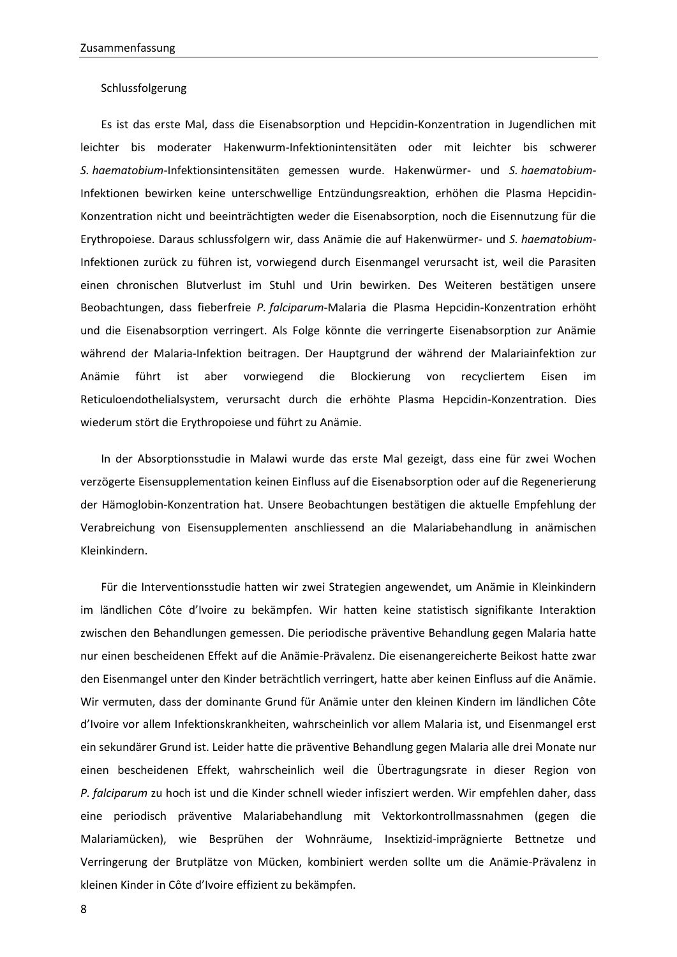#### Schlussfolgerung

Es ist das erste Mal, dass die Eisenabsorption und Hepcidin-Konzentration in Jugendlichen mit leichter bis moderater Hakenwurm-Infektionintensitäten oder mit leichter bis schwerer *S. haematobium*-Infektionsintensitäten gemessen wurde. Hakenwürmer- und *S. haematobium*-Infektionen bewirken keine unterschwellige Entzündungsreaktion, erhöhen die Plasma Hepcidin-Konzentration nicht und beeinträchtigten weder die Eisenabsorption, noch die Eisennutzung für die Erythropoiese. Daraus schlussfolgern wir, dass Anämie die auf Hakenwürmer- und *S. haematobium*-Infektionen zurück zu führen ist, vorwiegend durch Eisenmangel verursacht ist, weil die Parasiten einen chronischen Blutverlust im Stuhl und Urin bewirken. Des Weiteren bestätigen unsere Beobachtungen, dass fieberfreie *P. falciparum*-Malaria die Plasma Hepcidin-Konzentration erhöht und die Eisenabsorption verringert. Als Folge könnte die verringerte Eisenabsorption zur Anämie während der Malaria-Infektion beitragen. Der Hauptgrund der während der Malariainfektion zur Anämie führt ist aber vorwiegend die Blockierung von recycliertem Eisen im Reticuloendothelialsystem, verursacht durch die erhöhte Plasma Hepcidin-Konzentration. Dies wiederum stört die Erythropoiese und führt zu Anämie.

In der Absorptionsstudie in Malawi wurde das erste Mal gezeigt, dass eine für zwei Wochen verzögerte Eisensupplementation keinen Einfluss auf die Eisenabsorption oder auf die Regenerierung der Hämoglobin-Konzentration hat. Unsere Beobachtungen bestätigen die aktuelle Empfehlung der Verabreichung von Eisensupplementen anschliessend an die Malariabehandlung in anämischen Kleinkindern.

Für die Interventionsstudie hatten wir zwei Strategien angewendet, um Anämie in Kleinkindern im ländlichen Côte d'Ivoire zu bekämpfen. Wir hatten keine statistisch signifikante Interaktion zwischen den Behandlungen gemessen. Die periodische präventive Behandlung gegen Malaria hatte nur einen bescheidenen Effekt auf die Anämie-Prävalenz. Die eisenangereicherte Beikost hatte zwar den Eisenmangel unter den Kinder beträchtlich verringert, hatte aber keinen Einfluss auf die Anämie. Wir vermuten, dass der dominante Grund für Anämie unter den kleinen Kindern im ländlichen Côte d'Ivoire vor allem Infektionskrankheiten, wahrscheinlich vor allem Malaria ist, und Eisenmangel erst ein sekundärer Grund ist. Leider hatte die präventive Behandlung gegen Malaria alle drei Monate nur einen bescheidenen Effekt, wahrscheinlich weil die Übertragungsrate in dieser Region von *P. falciparum* zu hoch ist und die Kinder schnell wieder infisziert werden. Wir empfehlen daher, dass eine periodisch präventive Malariabehandlung mit Vektorkontrollmassnahmen (gegen die Malariamücken), wie Besprühen der Wohnräume, Insektizid-imprägnierte Bettnetze und Verringerung der Brutplätze von Mücken, kombiniert werden sollte um die Anämie-Prävalenz in kleinen Kinder in Côte d'Ivoire effizient zu bekämpfen.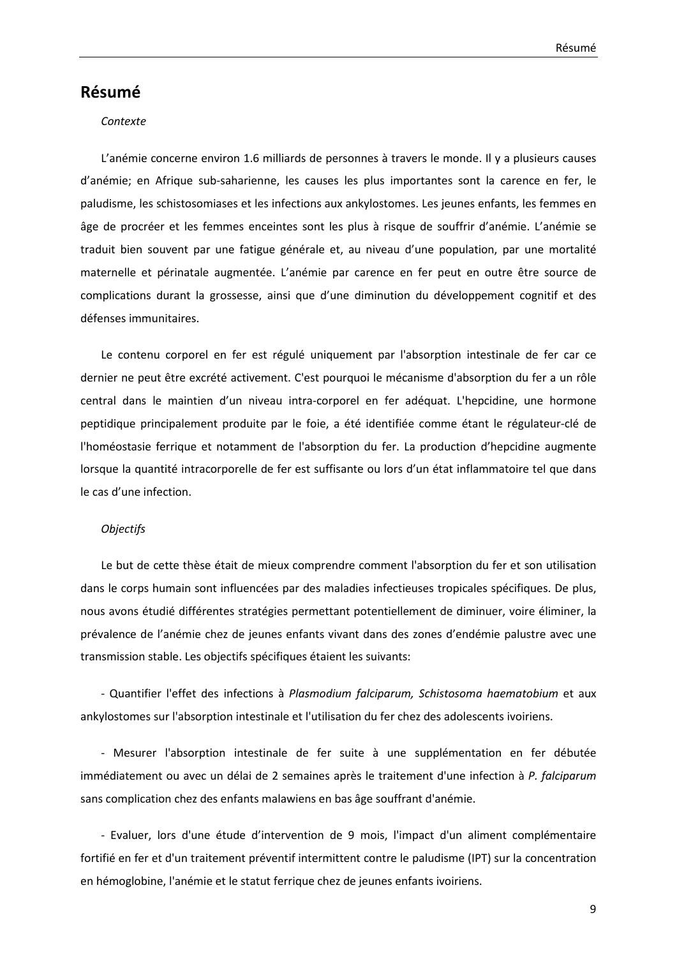## **Résumé**

#### *Contexte*

L'anémie concerne environ 1.6 milliards de personnes à travers le monde. Il y a plusieurs causes d'anémie; en Afrique sub-saharienne, les causes les plus importantes sont la carence en fer, le paludisme, les schistosomiases et les infections aux ankylostomes. Les jeunes enfants, les femmes en âge de procréer et les femmes enceintes sont les plus à risque de souffrir d'anémie. L'anémie se traduit bien souvent par une fatigue générale et, au niveau d'une population, par une mortalité maternelle et périnatale augmentée. L'anémie par carence en fer peut en outre être source de complications durant la grossesse, ainsi que d'une diminution du développement cognitif et des défenses immunitaires.

Le contenu corporel en fer est régulé uniquement par l'absorption intestinale de fer car ce dernier ne peut être excrété activement. C'est pourquoi le mécanisme d'absorption du fer a un rôle central dans le maintien d'un niveau intra-corporel en fer adéquat. L'hepcidine, une hormone peptidique principalement produite par le foie, a été identifiée comme étant le régulateur-clé de l'homéostasie ferrique et notamment de l'absorption du fer. La production d'hepcidine augmente lorsque la quantité intracorporelle de fer est suffisante ou lors d'un état inflammatoire tel que dans le cas d'une infection.

#### *Objectifs*

Le but de cette thèse était de mieux comprendre comment l'absorption du fer et son utilisation dans le corps humain sont influencées par des maladies infectieuses tropicales spécifiques. De plus, nous avons étudié différentes stratégies permettant potentiellement de diminuer, voire éliminer, la prévalence de l'anémie chez de jeunes enfants vivant dans des zones d'endémie palustre avec une transmission stable. Les objectifs spécifiques étaient les suivants:

- Quantifier l'effet des infections à *Plasmodium falciparum, Schistosoma haematobium* et aux ankylostomes sur l'absorption intestinale et l'utilisation du fer chez des adolescents ivoiriens.

- Mesurer l'absorption intestinale de fer suite à une supplémentation en fer débutée immédiatement ou avec un délai de 2 semaines après le traitement d'une infection à *P. falciparum* sans complication chez des enfants malawiens en bas âge souffrant d'anémie.

- Evaluer, lors d'une étude d'intervention de 9 mois, l'impact d'un aliment complémentaire fortifié en fer et d'un traitement préventif intermittent contre le paludisme (IPT) sur la concentration en hémoglobine, l'anémie et le statut ferrique chez de jeunes enfants ivoiriens.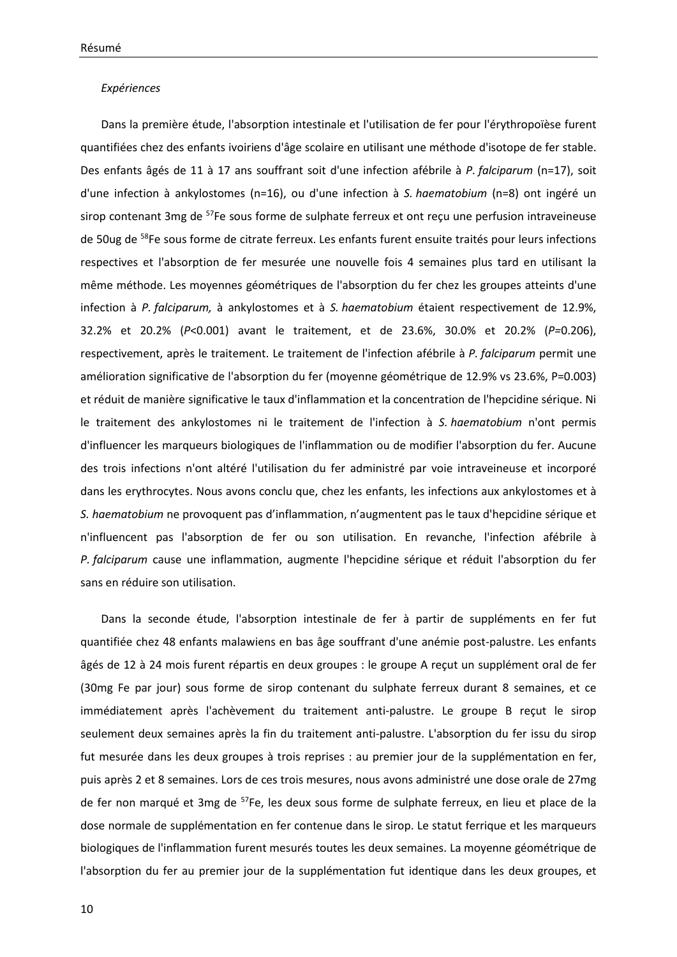#### *Expériences*

Dans la première étude, l'absorption intestinale et l'utilisation de fer pour l'érythropoïèse furent quantifiées chez des enfants ivoiriens d'âge scolaire en utilisant une méthode d'isotope de fer stable. Des enfants âgés de 11 à 17 ans souffrant soit d'une infection afébrile à *P. falciparum* (n=17), soit d'une infection à ankylostomes (n=16), ou d'une infection à *S. haematobium* (n=8) ont ingéré un sirop contenant 3mg de <sup>57</sup>Fe sous forme de sulphate ferreux et ont reçu une perfusion intraveineuse de 50ug de <sup>58</sup>Fe sous forme de citrate ferreux. Les enfants furent ensuite traités pour leurs infections respectives et l'absorption de fer mesurée une nouvelle fois 4 semaines plus tard en utilisant la même méthode. Les moyennes géométriques de l'absorption du fer chez les groupes atteints d'une infection à *P. falciparum,* à ankylostomes et à *S. haematobium* étaient respectivement de 12.9%, 32.2% et 20.2% (*P*<0.001) avant le traitement, et de 23.6%, 30.0% et 20.2% (*P=*0.206), respectivement, après le traitement. Le traitement de l'infection afébrile à *P. falciparum* permit une amélioration significative de l'absorption du fer (moyenne géométrique de 12.9% vs 23.6%, P=0.003) et réduit de manière significative le taux d'inflammation et la concentration de l'hepcidine sérique. Ni le traitement des ankylostomes ni le traitement de l'infection à *S. haematobium* n'ont permis d'influencer les marqueurs biologiques de l'inflammation ou de modifier l'absorption du fer. Aucune des trois infections n'ont altéré l'utilisation du fer administré par voie intraveineuse et incorporé dans les erythrocytes. Nous avons conclu que, chez les enfants, les infections aux ankylostomes et à *S. haematobium* ne provoquent pas d'inflammation, n'augmentent pas le taux d'hepcidine sérique et n'influencent pas l'absorption de fer ou son utilisation. En revanche, l'infection afébrile à *P. falciparum* cause une inflammation, augmente l'hepcidine sérique et réduit l'absorption du fer sans en réduire son utilisation.

Dans la seconde étude, l'absorption intestinale de fer à partir de suppléments en fer fut quantifiée chez 48 enfants malawiens en bas âge souffrant d'une anémie post-palustre. Les enfants âgés de 12 à 24 mois furent répartis en deux groupes : le groupe A reçut un supplément oral de fer (30mg Fe par jour) sous forme de sirop contenant du sulphate ferreux durant 8 semaines, et ce immédiatement après l'achèvement du traitement anti-palustre. Le groupe B reçut le sirop seulement deux semaines après la fin du traitement anti-palustre. L'absorption du fer issu du sirop fut mesurée dans les deux groupes à trois reprises : au premier jour de la supplémentation en fer, puis après 2 et 8 semaines. Lors de ces trois mesures, nous avons administré une dose orale de 27mg de fer non marqué et 3mg de <sup>57</sup>Fe, les deux sous forme de sulphate ferreux, en lieu et place de la dose normale de supplémentation en fer contenue dans le sirop. Le statut ferrique et les marqueurs biologiques de l'inflammation furent mesurés toutes les deux semaines. La moyenne géométrique de l'absorption du fer au premier jour de la supplémentation fut identique dans les deux groupes, et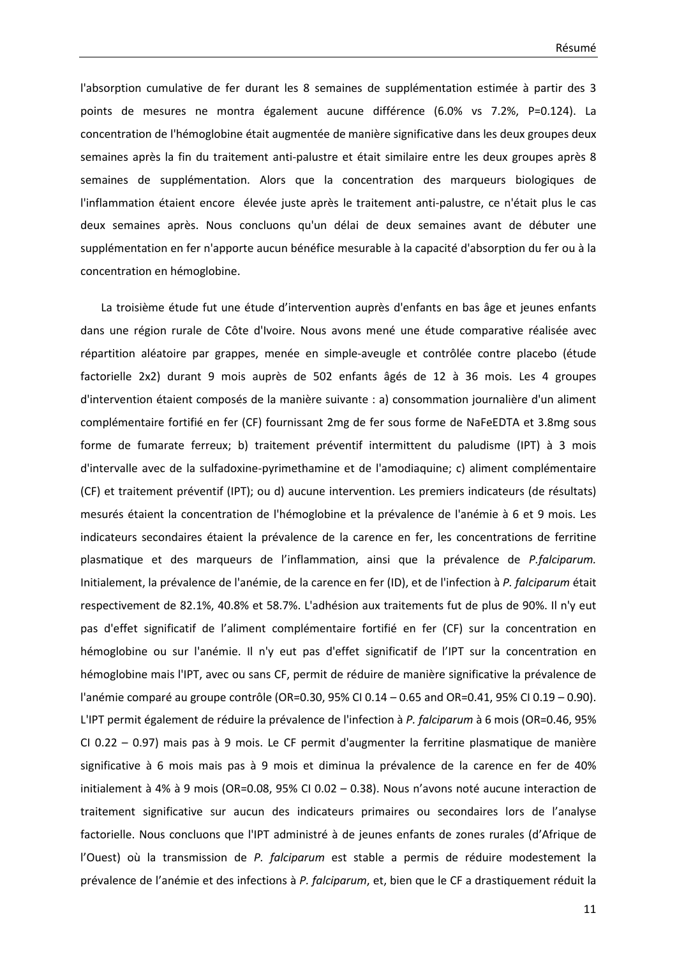l'absorption cumulative de fer durant les 8 semaines de supplémentation estimée à partir des 3 points de mesures ne montra également aucune différence (6.0% vs 7.2%, P=0.124). La concentration de l'hémoglobine était augmentée de manière significative dans les deux groupes deux semaines après la fin du traitement anti-palustre et était similaire entre les deux groupes après 8 semaines de supplémentation. Alors que la concentration des marqueurs biologiques de l'inflammation étaient encore élevée juste après le traitement anti-palustre, ce n'était plus le cas deux semaines après. Nous concluons qu'un délai de deux semaines avant de débuter une supplémentation en fer n'apporte aucun bénéfice mesurable à la capacité d'absorption du fer ou à la concentration en hémoglobine.

La troisième étude fut une étude d'intervention auprès d'enfants en bas âge et jeunes enfants dans une région rurale de Côte d'Ivoire. Nous avons mené une étude comparative réalisée avec répartition aléatoire par grappes, menée en simple-aveugle et contrôlée contre placebo (étude factorielle 2x2) durant 9 mois auprès de 502 enfants âgés de 12 à 36 mois. Les 4 groupes d'intervention étaient composés de la manière suivante : a) consommation journalière d'un aliment complémentaire fortifié en fer (CF) fournissant 2mg de fer sous forme de NaFeEDTA et 3.8mg sous forme de fumarate ferreux; b) traitement préventif intermittent du paludisme (IPT) à 3 mois d'intervalle avec de la sulfadoxine-pyrimethamine et de l'amodiaquine; c) aliment complémentaire (CF) et traitement préventif (IPT); ou d) aucune intervention. Les premiers indicateurs (de résultats) mesurés étaient la concentration de l'hémoglobine et la prévalence de l'anémie à 6 et 9 mois. Les indicateurs secondaires étaient la prévalence de la carence en fer, les concentrations de ferritine plasmatique et des marqueurs de l'inflammation, ainsi que la prévalence de *P.falciparum.* Initialement, la prévalence de l'anémie, de la carence en fer (ID), et de l'infection à *P. falciparum* était respectivement de 82.1%, 40.8% et 58.7%. L'adhésion aux traitements fut de plus de 90%. Il n'y eut pas d'effet significatif de l'aliment complémentaire fortifié en fer (CF) sur la concentration en hémoglobine ou sur l'anémie. Il n'y eut pas d'effet significatif de l'IPT sur la concentration en hémoglobine mais l'IPT, avec ou sans CF, permit de réduire de manière significative la prévalence de l'anémie comparé au groupe contrôle (OR=0.30, 95% CI 0.14 – 0.65 and OR=0.41, 95% CI 0.19 – 0.90). L'IPT permit également de réduire la prévalence de l'infection à *P. falciparum* à 6 mois (OR=0.46, 95% CI 0.22 – 0.97) mais pas à 9 mois. Le CF permit d'augmenter la ferritine plasmatique de manière significative à 6 mois mais pas à 9 mois et diminua la prévalence de la carence en fer de 40% initialement à 4% à 9 mois (OR=0.08, 95% CI 0.02 – 0.38). Nous n'avons noté aucune interaction de traitement significative sur aucun des indicateurs primaires ou secondaires lors de l'analyse factorielle. Nous concluons que l'IPT administré à de jeunes enfants de zones rurales (d'Afrique de l'Ouest) où la transmission de *P. falciparum* est stable a permis de réduire modestement la prévalence de l'anémie et des infections à *P. falciparum*, et, bien que le CF a drastiquement réduit la